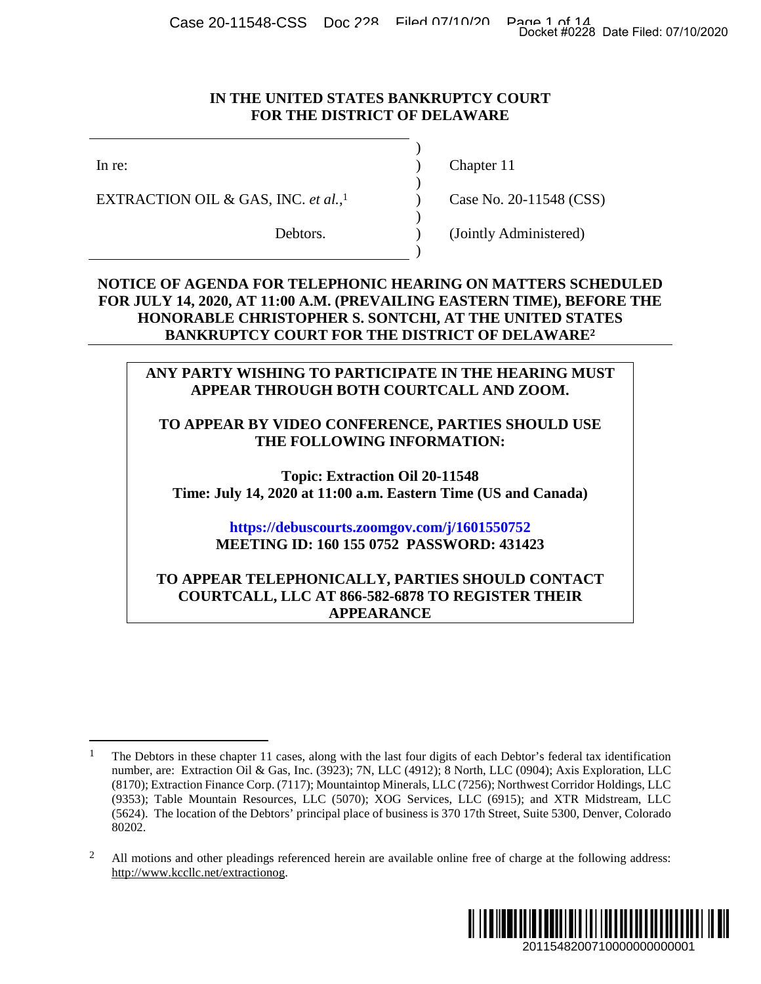Case 20-11548-CSS Doc 228 Filed 07/10/20 Page 1 of 14<br>Docket #0228 Date Filed: 07/10/2020

)

 $\overline{)}$ 

)

)

#### **IN THE UNITED STATES BANKRUPTCY COURT FOR THE DISTRICT OF DELAWARE**

EXTRACTION OIL & GAS, INC. *et al.*,

In re: (a) Chapter 11

[1](#page-0-0) Case No. 20-11548 (CSS)

Debtors. (Jointly Administered)

### **NOTICE OF AGENDA FOR TELEPHONIC HEARING ON MATTERS SCHEDULED FOR JULY 14, 2020, AT 11:00 A.M. (PREVAILING EASTERN TIME), BEFORE THE HONORABLE CHRISTOPHER S. SONTCHI, AT THE UNITED ST[AT](#page-0-1)ES BANKRUPTCY COURT FOR THE DISTRICT OF DELAWARE<sup>2</sup>**

### **ANY PARTY WISHING TO PARTICIPATE IN THE HEARING MUST APPEAR THROUGH BOTH COURTCALL AND ZOOM.**

### **TO APPEAR BY VIDEO CONFERENCE, PARTIES SHOULD USE THE FOLLOWING INFORMATION:**

**Topic: Extraction Oil 20-11548 Time: July 14, 2020 at 11:00 a.m. Eastern Time (US and Canada)** 

# **<https://debuscourts.zoomgov.com/j/1601550752> MEETING ID: 160 155 0752 PASSWORD: 431423**

### **TO APPEAR TELEPHONICALLY, PARTIES SHOULD CONTACT COURTCALL, LLC AT 866-582-6878 TO REGISTER THEIR APPEARANCE**

<span id="page-0-1"></span><span id="page-0-0"></span><sup>&</sup>lt;sup>2</sup> All motions and other pleadings referenced herein are available online free of charge at the following address: http://www.kccllc.net/extractionog.



<sup>1</sup> The Debtors in these chapter 11 cases, along with the last four digits of each Debtor's federal tax identification number, are: Extraction Oil & Gas, Inc. (3923); 7N, LLC (4912); 8 North, LLC (0904); Axis Exploration, LLC (8170); Extraction Finance Corp. (7117); Mountaintop Minerals, LLC (7256); Northwest Corridor Holdings, LLC (9353); Table Mountain Resources, LLC (5070); XOG Services, LLC (6915); and XTR Midstream, LLC (5624). The location of the Debtors' principal place of business is 370 17th Street, Suite 5300, Denver, Colorado 80202. 2011548200710000000000001 Docket #0228 Date Filed: 07/10/2020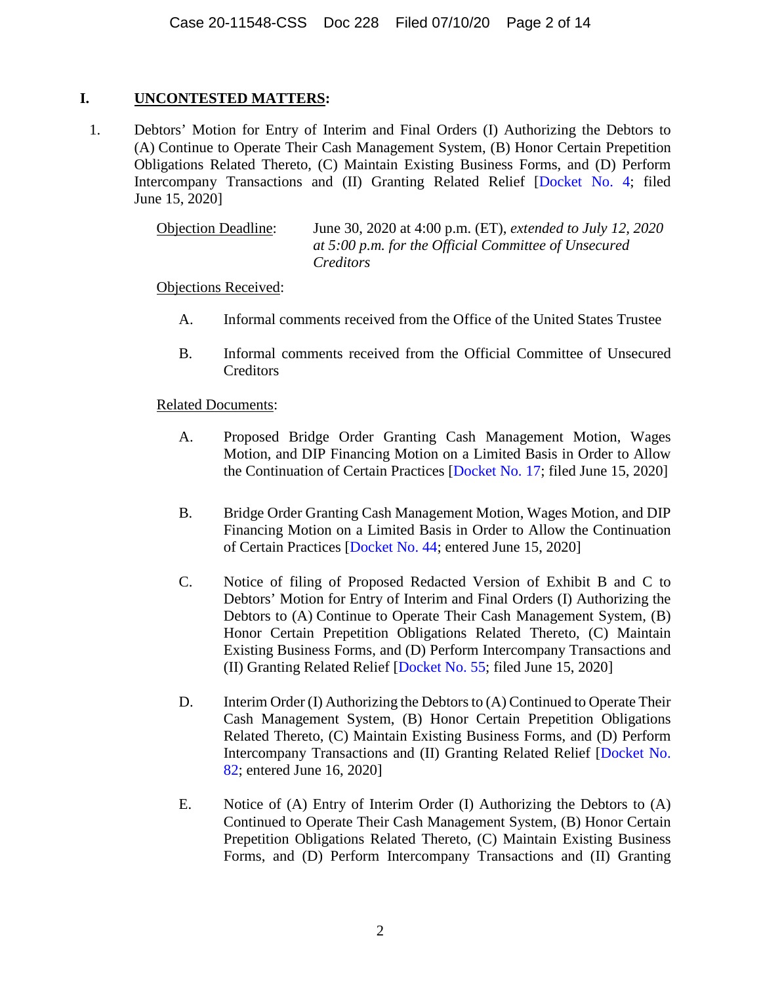# **I. UNCONTESTED MATTERS:**

1. Debtors' Motion for Entry of Interim and Final Orders (I) Authorizing the Debtors to (A) Continue to Operate Their Cash Management System, (B) Honor Certain Prepetition Obligations Related Thereto, (C) Maintain Existing Business Forms, and (D) Perform Intercompany Transactions and (II) Granting Related Relief [[Docket No. 4](https://www.kccllc.net/extractionog/document/2011548200614000000000013); filed June 15, 2020]

> Objection Deadline: June 30, 2020 at 4:00 p.m. (ET), *extended to July 12, 2020 at 5:00 p.m. for the Official Committee of Unsecured Creditors*

Objections Received:

- A. Informal comments received from the Office of the United States Trustee
- B. Informal comments received from the Official Committee of Unsecured **Creditors**

- A. Proposed Bridge Order Granting Cash Management Motion, Wages Motion, and DIP Financing Motion on a Limited Basis in Order to Allow the Continuation of Certain Practices [[Docket No. 17](https://www.kccllc.net/extractionog/document/2011548200615000000000009); filed June 15, 2020]
- B. Bridge Order Granting Cash Management Motion, Wages Motion, and DIP Financing Motion on a Limited Basis in Order to Allow the Continuation of Certain Practices [[Docket No. 44;](https://www.kccllc.net/extractionog/document/2011548200615000000000038) entered June 15, 2020]
- C. Notice of filing of Proposed Redacted Version of Exhibit B and C to Debtors' Motion for Entry of Interim and Final Orders (I) Authorizing the Debtors to (A) Continue to Operate Their Cash Management System, (B) Honor Certain Prepetition Obligations Related Thereto, (C) Maintain Existing Business Forms, and (D) Perform Intercompany Transactions and (II) Granting Related Relief [[Docket No. 55;](https://www.kccllc.net/extractionog/document/2011548200615000000000050) filed June 15, 2020]
- D. Interim Order (I) Authorizing the Debtors to (A) Continued to Operate Their Cash Management System, (B) Honor Certain Prepetition Obligations Related Thereto, (C) Maintain Existing Business Forms, and (D) Perform Intercompany Transactions and (II) Granting Related Relief [\[Docket No.](https://www.kccllc.net/extractionog/document/2011548200616000000000057)  [82; entered June 16, 2020\]](https://www.kccllc.net/extractionog/document/2011548200616000000000057)
- E. Notice of (A) Entry of Interim Order (I) Authorizing the Debtors to (A) Continued to Operate Their Cash Management System, (B) Honor Certain Prepetition Obligations Related Thereto, (C) Maintain Existing Business Forms, and (D) Perform Intercompany Transactions and (II) Granting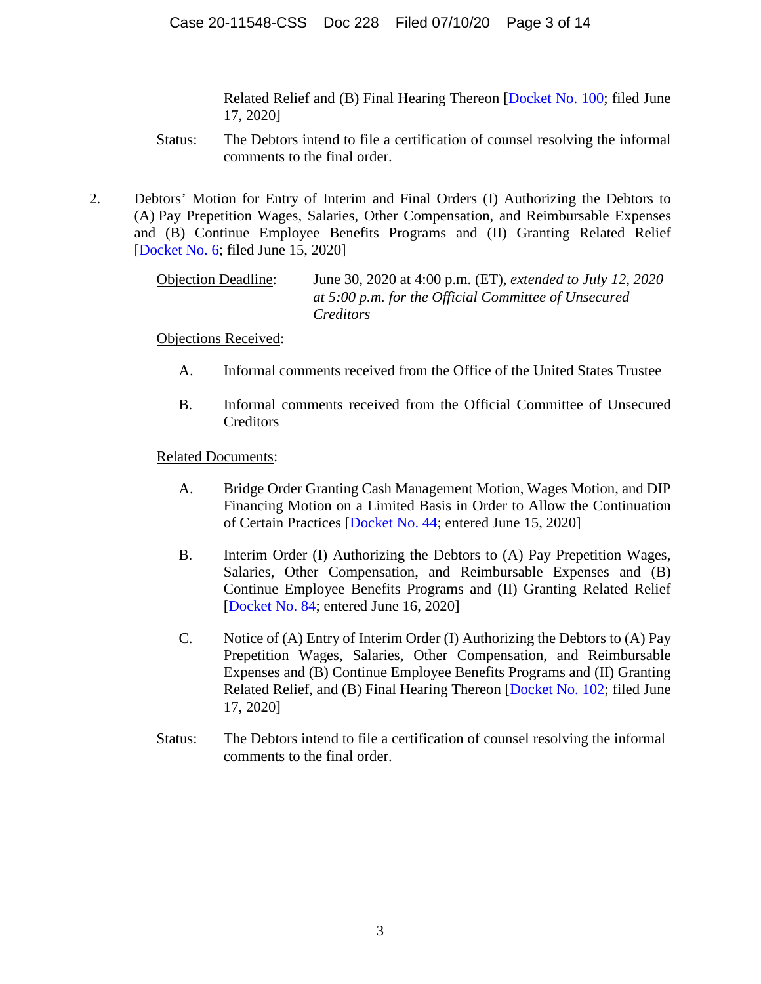Related Relief and (B) Final Hearing Thereon [\[Docket No. 100](https://www.kccllc.net/extractionog/document/2011548200617000000000006); filed June 17, 2020]

- Status: The Debtors intend to file a certification of counsel resolving the informal comments to the final order.
- 2. Debtors' Motion for Entry of Interim and Final Orders (I) Authorizing the Debtors to (A) Pay Prepetition Wages, Salaries, Other Compensation, and Reimbursable Expenses and (B) Continue Employee Benefits Programs and (II) Granting Related Relief [[Docket No. 6;](https://www.kccllc.net/extractionog/document/2011548200614000000000016) filed June 15, 2020]

Objection Deadline: June 30, 2020 at 4:00 p.m. (ET), *extended to July 12, 2020 at 5:00 p.m. for the Official Committee of Unsecured Creditors*

Objections Received:

- A. Informal comments received from the Office of the United States Trustee
- B. Informal comments received from the Official Committee of Unsecured **Creditors**

- A. Bridge Order Granting Cash Management Motion, Wages Motion, and DIP Financing Motion on a Limited Basis in Order to Allow the Continuation of Certain Practices [[Docket No. 44;](https://www.kccllc.net/extractionog/document/2011548200615000000000038) entered June 15, 2020]
- B. Interim Order (I) Authorizing the Debtors to (A) Pay Prepetition Wages, Salaries, Other Compensation, and Reimbursable Expenses and (B) Continue Employee Benefits Programs and (II) Granting Related Relief [[Docket No. 84](https://www.kccllc.net/extractionog/document/2011548200616000000000059); entered June 16, 2020]
- C. Notice of (A) Entry of Interim Order (I) Authorizing the Debtors to (A) Pay Prepetition Wages, Salaries, Other Compensation, and Reimbursable Expenses and (B) Continue Employee Benefits Programs and (II) Granting Related Relief, and (B) Final Hearing Thereon [\[Docket No. 102;](https://www.kccllc.net/extractionog/document/2011548200617000000000008) filed June 17, 2020]
- Status: The Debtors intend to file a certification of counsel resolving the informal comments to the final order.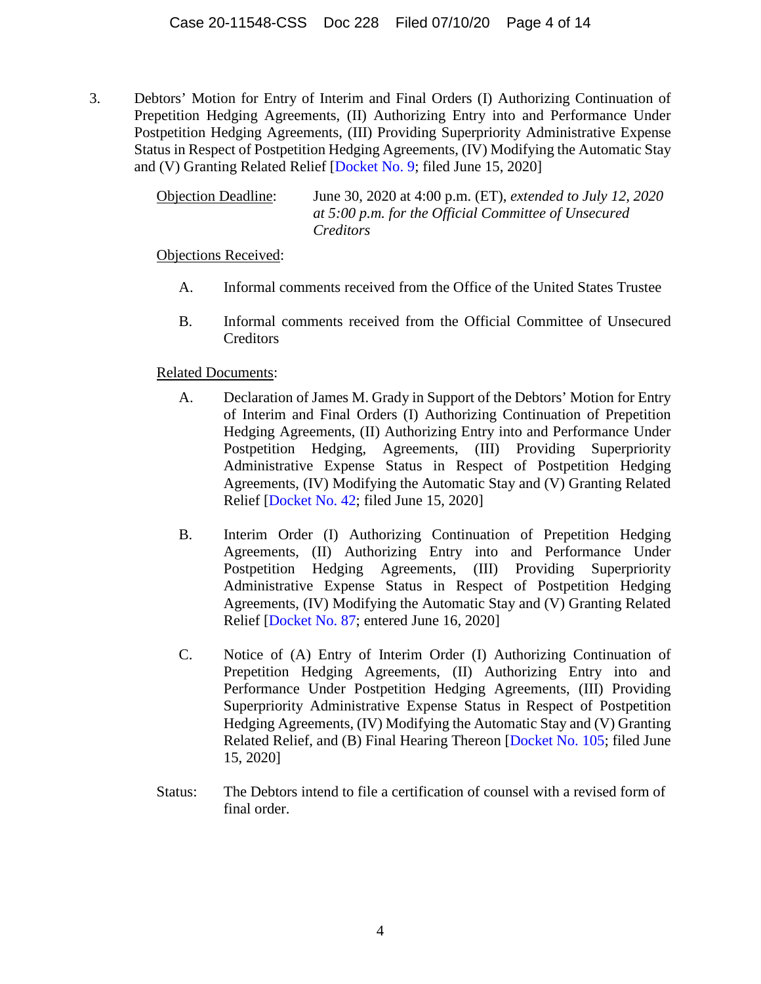3. Debtors' Motion for Entry of Interim and Final Orders (I) Authorizing Continuation of Prepetition Hedging Agreements, (II) Authorizing Entry into and Performance Under Postpetition Hedging Agreements, (III) Providing Superpriority Administrative Expense Status in Respect of Postpetition Hedging Agreements, (IV) Modifying the Automatic Stay and (V) Granting Related Relief [[Docket No. 9;](https://www.kccllc.net/extractionog/document/2011548200615000000000001) filed June 15, 2020]

> Objection Deadline: June 30, 2020 at 4:00 p.m. (ET), *extended to July 12, 2020 at 5:00 p.m. for the Official Committee of Unsecured Creditors*

Objections Received:

- A. Informal comments received from the Office of the United States Trustee
- B. Informal comments received from the Official Committee of Unsecured **Creditors**

- A. Declaration of James M. Grady in Support of the Debtors' Motion for Entry of Interim and Final Orders (I) Authorizing Continuation of Prepetition Hedging Agreements, (II) Authorizing Entry into and Performance Under Postpetition Hedging, Agreements, (III) Providing Superpriority Administrative Expense Status in Respect of Postpetition Hedging Agreements, (IV) Modifying the Automatic Stay and (V) Granting Related Relief [\[Docket No. 42;](https://www.kccllc.net/extractionog/document/2011548200615000000000036) filed June 15, 2020]
- B. Interim Order (I) Authorizing Continuation of Prepetition Hedging Agreements, (II) Authorizing Entry into and Performance Under Postpetition Hedging Agreements, (III) Providing Superpriority Administrative Expense Status in Respect of Postpetition Hedging Agreements, (IV) Modifying the Automatic Stay and (V) Granting Related Relief [\[Docket No. 87;](https://www.kccllc.net/extractionog/document/2011548200616000000000061) entered June 16, 2020]
- C. Notice of (A) Entry of Interim Order (I) Authorizing Continuation of Prepetition Hedging Agreements, (II) Authorizing Entry into and Performance Under Postpetition Hedging Agreements, (III) Providing Superpriority Administrative Expense Status in Respect of Postpetition Hedging Agreements, (IV) Modifying the Automatic Stay and (V) Granting Related Relief, and (B) Final Hearing Thereon [\[Docket No. 105;](https://www.kccllc.net/extractionog/document/2011548200617000000000011) filed June 15, 2020]
- Status: The Debtors intend to file a certification of counsel with a revised form of final order.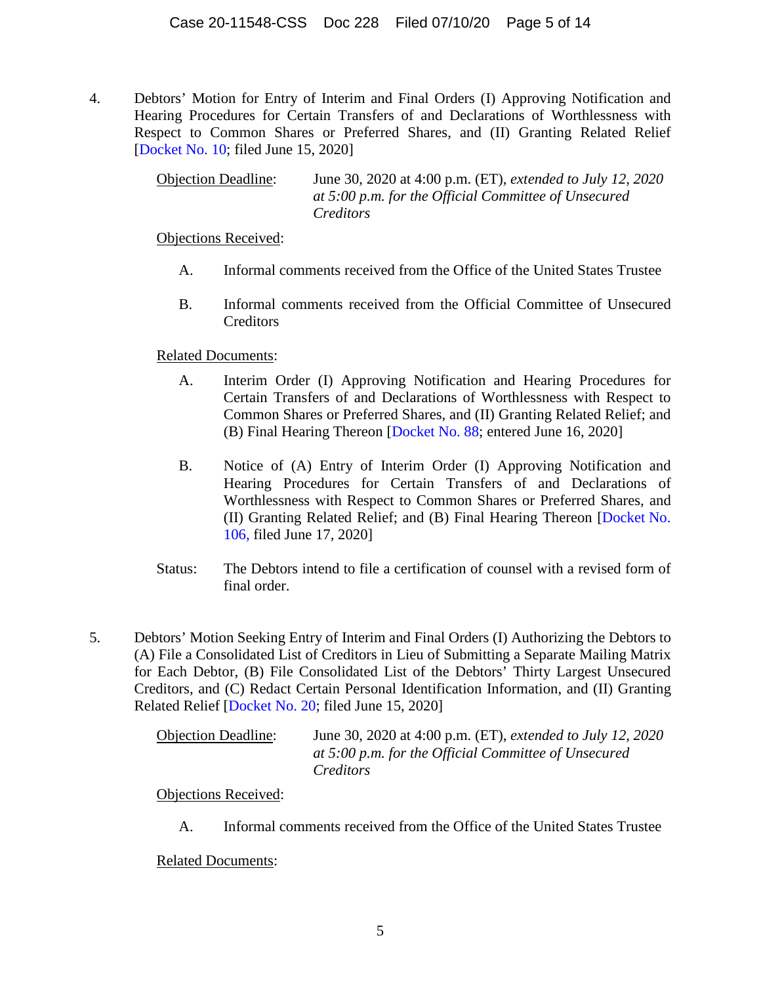4. Debtors' Motion for Entry of Interim and Final Orders (I) Approving Notification and Hearing Procedures for Certain Transfers of and Declarations of Worthlessness with Respect to Common Shares or Preferred Shares, and (II) Granting Related Relief [[Docket No. 10;](https://www.kccllc.net/extractionog/document/2011548200615000000000002) filed June 15, 2020]

> Objection Deadline: June 30, 2020 at 4:00 p.m. (ET), *extended to July 12, 2020 at 5:00 p.m. for the Official Committee of Unsecured Creditors*

Objections Received:

- A. Informal comments received from the Office of the United States Trustee
- B. Informal comments received from the Official Committee of Unsecured **Creditors**

Related Documents:

- A. Interim Order (I) Approving Notification and Hearing Procedures for Certain Transfers of and Declarations of Worthlessness with Respect to Common Shares or Preferred Shares, and (II) Granting Related Relief; and (B) Final Hearing Thereon [[Docket No. 88;](https://www.kccllc.net/extractionog/document/2011548200616000000000063) entered June 16, 2020]
- B. Notice of (A) Entry of Interim Order (I) Approving Notification and Hearing Procedures for Certain Transfers of and Declarations of Worthlessness with Respect to Common Shares or Preferred Shares, and (II) Granting Related Relief; and (B) Final Hearing Thereon [[Docket No.](https://www.kccllc.net/extractionog/document/2011548200617000000000012)  [106, filed June 17, 2020\]](https://www.kccllc.net/extractionog/document/2011548200617000000000012)
- Status: The Debtors intend to file a certification of counsel with a revised form of final order.
- 5. Debtors' Motion Seeking Entry of Interim and Final Orders (I) Authorizing the Debtors to (A) File a Consolidated List of Creditors in Lieu of Submitting a Separate Mailing Matrix for Each Debtor, (B) File Consolidated List of the Debtors' Thirty Largest Unsecured Creditors, and (C) Redact Certain Personal Identification Information, and (II) Granting Related Relief [[Docket No. 20](https://www.kccllc.net/extractionog/document/2011548200615000000000012); filed June 15, 2020]

| <b>Objection Deadline:</b> | June 30, 2020 at 4:00 p.m. (ET), <i>extended to July 12</i> , 2020 |
|----------------------------|--------------------------------------------------------------------|
|                            | at 5:00 p.m. for the Official Committee of Unsecured               |
|                            | Creditors                                                          |

Objections Received:

A. Informal comments received from the Office of the United States Trustee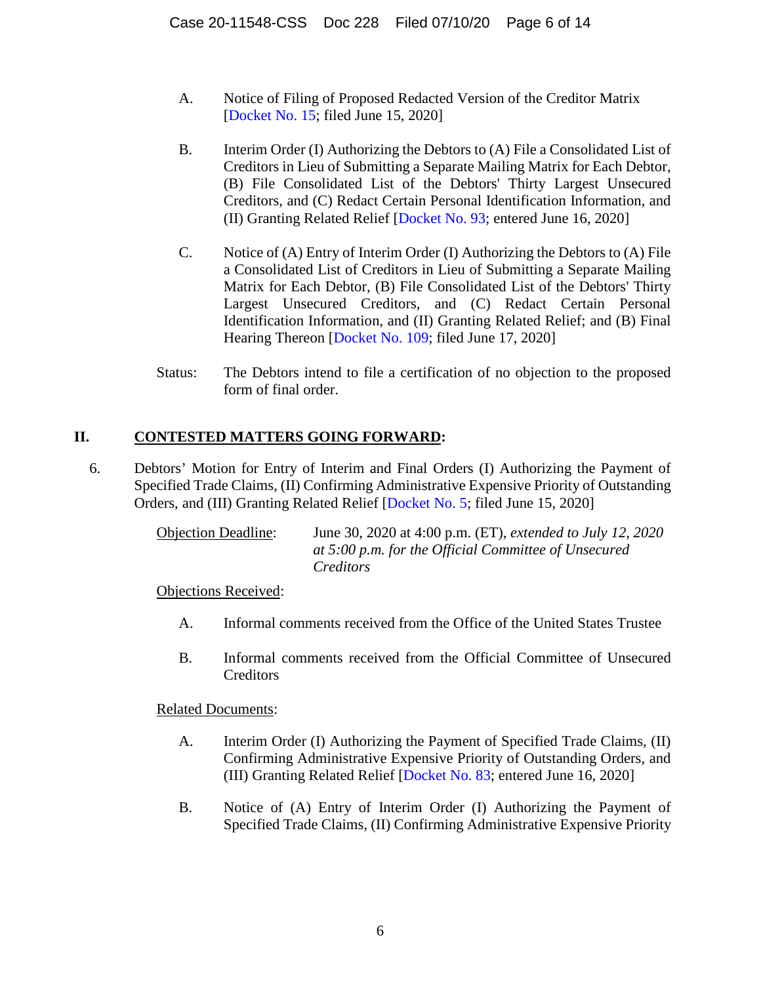- A. Notice of Filing of Proposed Redacted Version of the Creditor Matrix [[Docket No. 15](https://www.kccllc.net/extractionog/document/2011548200615000000000007); filed June 15, 2020]
- B. Interim Order (I) Authorizing the Debtors to (A) File a Consolidated List of Creditors in Lieu of Submitting a Separate Mailing Matrix for Each Debtor, (B) File Consolidated List of the Debtors' Thirty Largest Unsecured Creditors, and (C) Redact Certain Personal Identification Information, and (II) Granting Related Relief [[Docket No. 93;](https://www.kccllc.net/extractionog/document/2011548200616000000000068) entered June 16, 2020]
- C. Notice of (A) Entry of Interim Order (I) Authorizing the Debtors to (A) File a Consolidated List of Creditors in Lieu of Submitting a Separate Mailing Matrix for Each Debtor, (B) File Consolidated List of the Debtors' Thirty Largest Unsecured Creditors, and (C) Redact Certain Personal Identification Information, and (II) Granting Related Relief; and (B) Final Hearing Thereon [[Docket No. 109](https://www.kccllc.net/extractionog/document/2011548200617000000000015); filed June 17, 2020]
- Status: The Debtors intend to file a certification of no objection to the proposed form of final order.

# **II. CONTESTED MATTERS GOING FORWARD:**

6. Debtors' Motion for Entry of Interim and Final Orders (I) Authorizing the Payment of Specified Trade Claims, (II) Confirming Administrative Expensive Priority of Outstanding Orders, and (III) Granting Related Relief [[Docket No. 5;](https://www.kccllc.net/extractionog/document/2011548200614000000000015) filed June 15, 2020]

> Objection Deadline: June 30, 2020 at 4:00 p.m. (ET), *extended to July 12, 2020 at 5:00 p.m. for the Official Committee of Unsecured Creditors*

Objections Received:

- A. Informal comments received from the Office of the United States Trustee
- B. Informal comments received from the Official Committee of Unsecured **Creditors**

- A. Interim Order (I) Authorizing the Payment of Specified Trade Claims, (II) Confirming Administrative Expensive Priority of Outstanding Orders, and (III) Granting Related Relief [[Docket No. 83;](https://www.kccllc.net/extractionog/document/2011548200616000000000058) entered June 16, 2020]
- B. Notice of (A) Entry of Interim Order (I) Authorizing the Payment of Specified Trade Claims, (II) Confirming Administrative Expensive Priority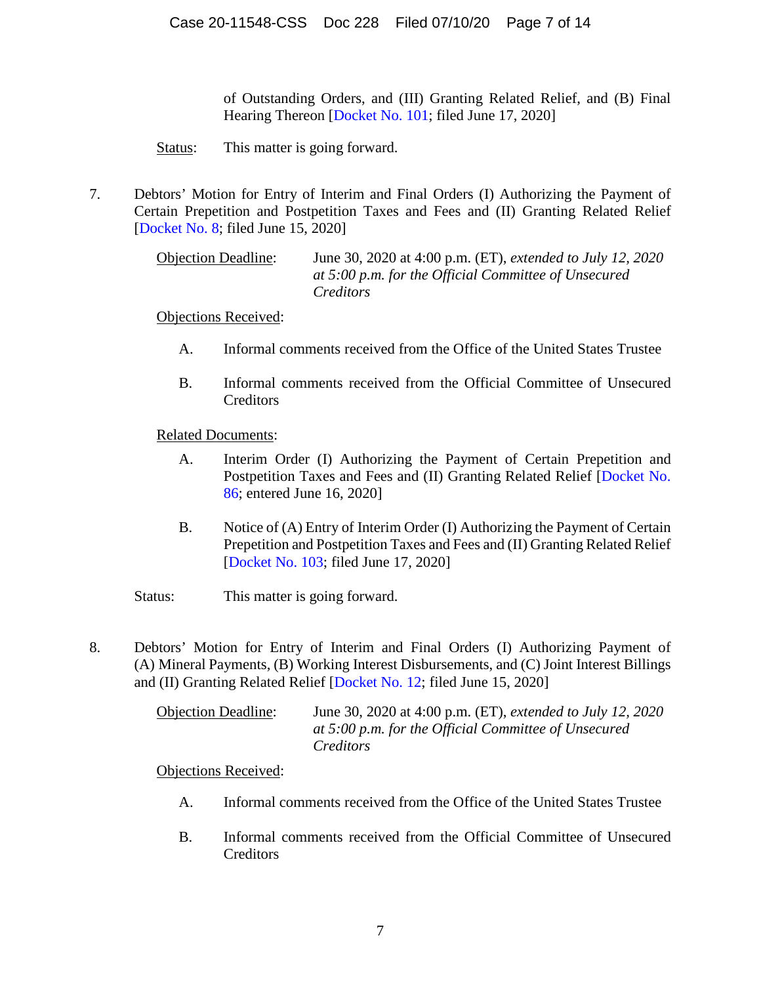of Outstanding Orders, and (III) Granting Related Relief, and (B) Final Hearing Thereon [[Docket No. 101](https://www.kccllc.net/extractionog/document/2011548200617000000000007); filed June 17, 2020]

Status: This matter is going forward.

7. Debtors' Motion for Entry of Interim and Final Orders (I) Authorizing the Payment of Certain Prepetition and Postpetition Taxes and Fees and (II) Granting Related Relief [[Docket No. 8](https://www.kccllc.net/extractionog/document/2011548200614000000000018); filed June 15, 2020]

> Objection Deadline: June 30, 2020 at 4:00 p.m. (ET), *extended to July 12, 2020 at 5:00 p.m. for the Official Committee of Unsecured Creditors*

# Objections Received:

- A. Informal comments received from the Office of the United States Trustee
- B. Informal comments received from the Official Committee of Unsecured Creditors

Related Documents:

- A. Interim Order (I) Authorizing the Payment of Certain Prepetition and Postpetition Taxes and Fees and (II) Granting Related Relief [\[Docket No.](https://www.kccllc.net/extractionog/document/2011548200616000000000062)  [86; entered June 16, 2020\]](https://www.kccllc.net/extractionog/document/2011548200616000000000062)
- B. Notice of (A) Entry of Interim Order (I) Authorizing the Payment of Certain Prepetition and Postpetition Taxes and Fees and (II) Granting Related Relief [[Docket No. 103](https://www.kccllc.net/extractionog/document/2011548200617000000000009); filed June 17, 2020]

Status: This matter is going forward.

8. Debtors' Motion for Entry of Interim and Final Orders (I) Authorizing Payment of (A) Mineral Payments, (B) Working Interest Disbursements, and (C) Joint Interest Billings and (II) Granting Related Relief [[Docket No. 12](https://www.kccllc.net/extractionog/document/2011548200615000000000004); filed June 15, 2020]

> Objection Deadline: June 30, 2020 at 4:00 p.m. (ET), *extended to July 12, 2020 at 5:00 p.m. for the Official Committee of Unsecured Creditors*

- A. Informal comments received from the Office of the United States Trustee
- B. Informal comments received from the Official Committee of Unsecured Creditors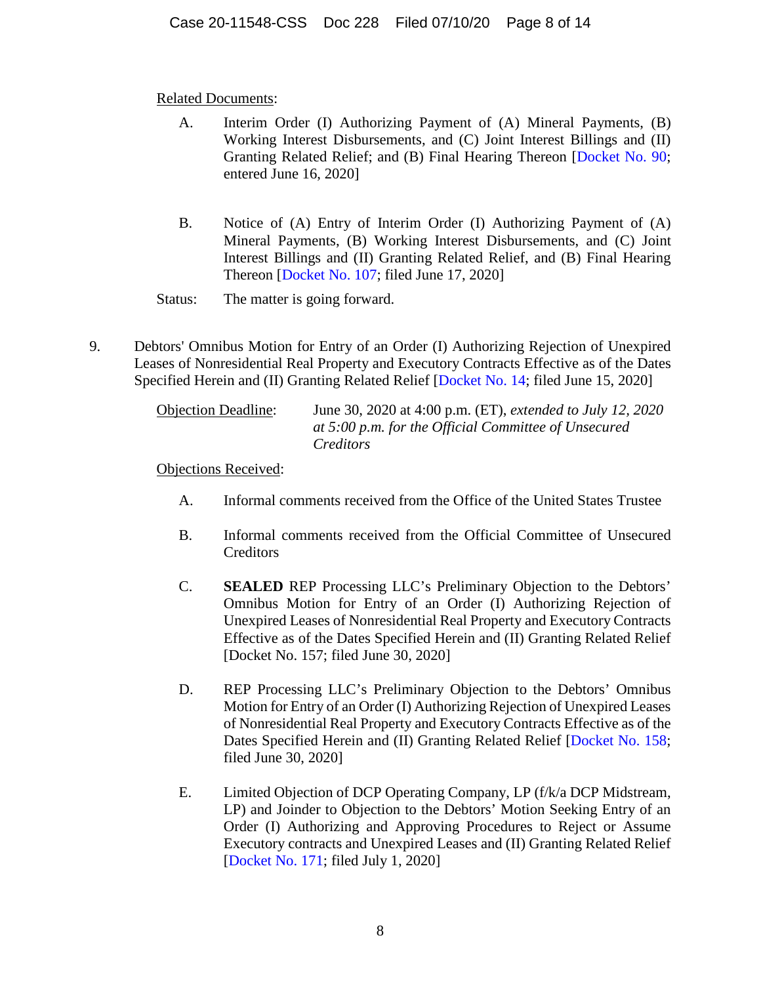- A. Interim Order (I) Authorizing Payment of (A) Mineral Payments, (B) Working Interest Disbursements, and (C) Joint Interest Billings and (II) Granting Related Relief; and (B) Final Hearing Thereon [\[Docket No. 90;](https://www.kccllc.net/extractionog/document/2011548200616000000000065) entered June 16, 2020]
- B. Notice of (A) Entry of Interim Order (I) Authorizing Payment of (A) Mineral Payments, (B) Working Interest Disbursements, and (C) Joint Interest Billings and (II) Granting Related Relief, and (B) Final Hearing Thereon [[Docket No. 107](https://www.kccllc.net/extractionog/document/2011548200617000000000013); filed June 17, 2020]

Status: The matter is going forward.

9. Debtors' Omnibus Motion for Entry of an Order (I) Authorizing Rejection of Unexpired Leases of Nonresidential Real Property and Executory Contracts Effective as of the Dates Specified Herein and (II) Granting Related Relief [[Docket No. 14](https://www.kccllc.net/extractionog/document/2011548200615000000000006); filed June 15, 2020]

| <b>Objection Deadline:</b> | June 30, 2020 at 4:00 p.m. (ET), <i>extended to July 12</i> , 2020 |
|----------------------------|--------------------------------------------------------------------|
|                            | at 5:00 p.m. for the Official Committee of Unsecured               |
|                            | Creditors                                                          |

- A. Informal comments received from the Office of the United States Trustee
- B. Informal comments received from the Official Committee of Unsecured **Creditors**
- C. **SEALED** REP Processing LLC's Preliminary Objection to the Debtors' Omnibus Motion for Entry of an Order (I) Authorizing Rejection of Unexpired Leases of Nonresidential Real Property and Executory Contracts Effective as of the Dates Specified Herein and (II) Granting Related Relief [Docket No. 157; filed June 30, 2020]
- D. REP Processing LLC's Preliminary Objection to the Debtors' Omnibus Motion for Entry of an Order (I) Authorizing Rejection of Unexpired Leases of Nonresidential Real Property and Executory Contracts Effective as of the Dates Specified Herein and (II) Granting Related Relief [\[Docket No. 158;](https://www.kccllc.net/extractionog/document/2011548200630000000000007) filed June 30, 2020]
- E. Limited Objection of DCP Operating Company, LP (f/k/a DCP Midstream, LP) and Joinder to Objection to the Debtors' Motion Seeking Entry of an Order (I) Authorizing and Approving Procedures to Reject or Assume Executory contracts and Unexpired Leases and (II) Granting Related Relief [[Docket No. 171](https://www.kccllc.net/extractionog/document/2011548200701000000000011); filed July 1, 2020]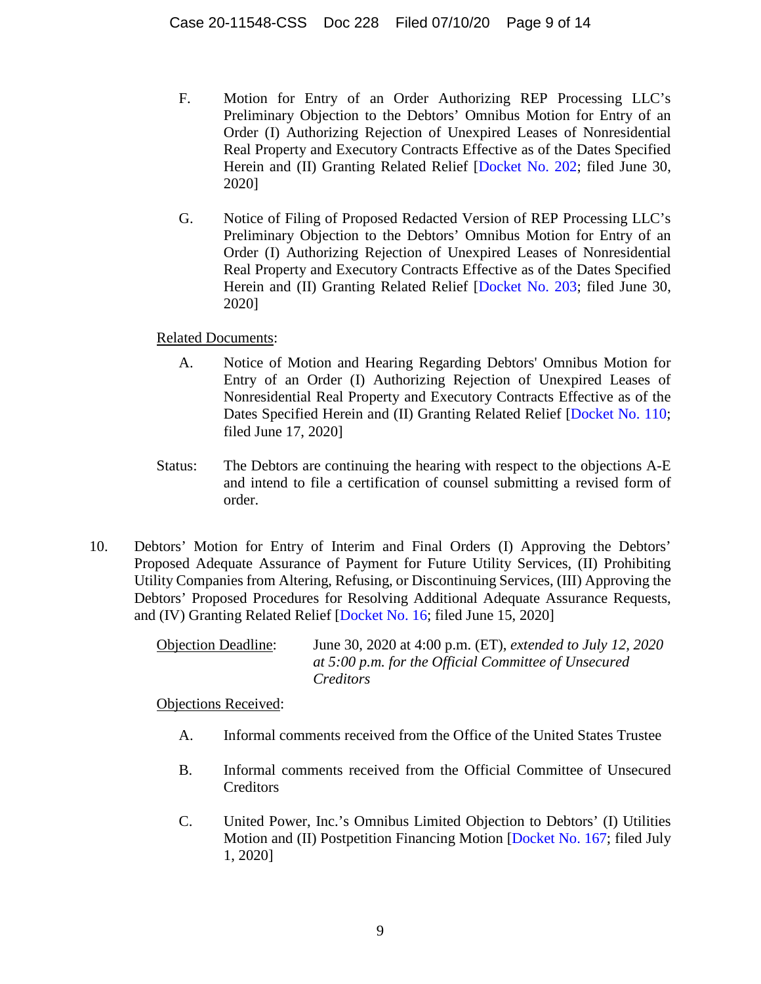- F. Motion for Entry of an Order Authorizing REP Processing LLC's Preliminary Objection to the Debtors' Omnibus Motion for Entry of an Order (I) Authorizing Rejection of Unexpired Leases of Nonresidential Real Property and Executory Contracts Effective as of the Dates Specified Herein and (II) Granting Related Relief [\[Docket No. 202](https://www.kccllc.net/extractionog/document/2011548200702000000000030); filed June 30, 2020]
- G. Notice of Filing of Proposed Redacted Version of REP Processing LLC's Preliminary Objection to the Debtors' Omnibus Motion for Entry of an Order (I) Authorizing Rejection of Unexpired Leases of Nonresidential Real Property and Executory Contracts Effective as of the Dates Specified Herein and (II) Granting Related Relief [\[Docket No. 203](https://www.kccllc.net/extractionog/document/2011548200702000000000031); filed June 30, 2020]

- A. Notice of Motion and Hearing Regarding Debtors' Omnibus Motion for Entry of an Order (I) Authorizing Rejection of Unexpired Leases of Nonresidential Real Property and Executory Contracts Effective as of the Dates Specified Herein and (II) Granting Related Relief [\[Docket No. 110;](https://www.kccllc.net/extractionog/document/2011548200617000000000016) filed June 17, 2020]
- Status: The Debtors are continuing the hearing with respect to the objections A-E and intend to file a certification of counsel submitting a revised form of order.
- 10. Debtors' Motion for Entry of Interim and Final Orders (I) Approving the Debtors' Proposed Adequate Assurance of Payment for Future Utility Services, (II) Prohibiting Utility Companies from Altering, Refusing, or Discontinuing Services, (III) Approving the Debtors' Proposed Procedures for Resolving Additional Adequate Assurance Requests, and (IV) Granting Related Relief [[Docket No. 16;](https://www.kccllc.net/extractionog/document/2011548200615000000000008) filed June 15, 2020]

Objection Deadline: June 30, 2020 at 4:00 p.m. (ET), *extended to July 12, 2020 at 5:00 p.m. for the Official Committee of Unsecured Creditors*

- A. Informal comments received from the Office of the United States Trustee
- B. Informal comments received from the Official Committee of Unsecured **Creditors**
- C. United Power, Inc.'s Omnibus Limited Objection to Debtors' (I) Utilities Motion and (II) Postpetition Financing Motion [\[Docket No. 167](https://www.kccllc.net/extractionog/document/2011548200701000000000007); filed July 1, 2020]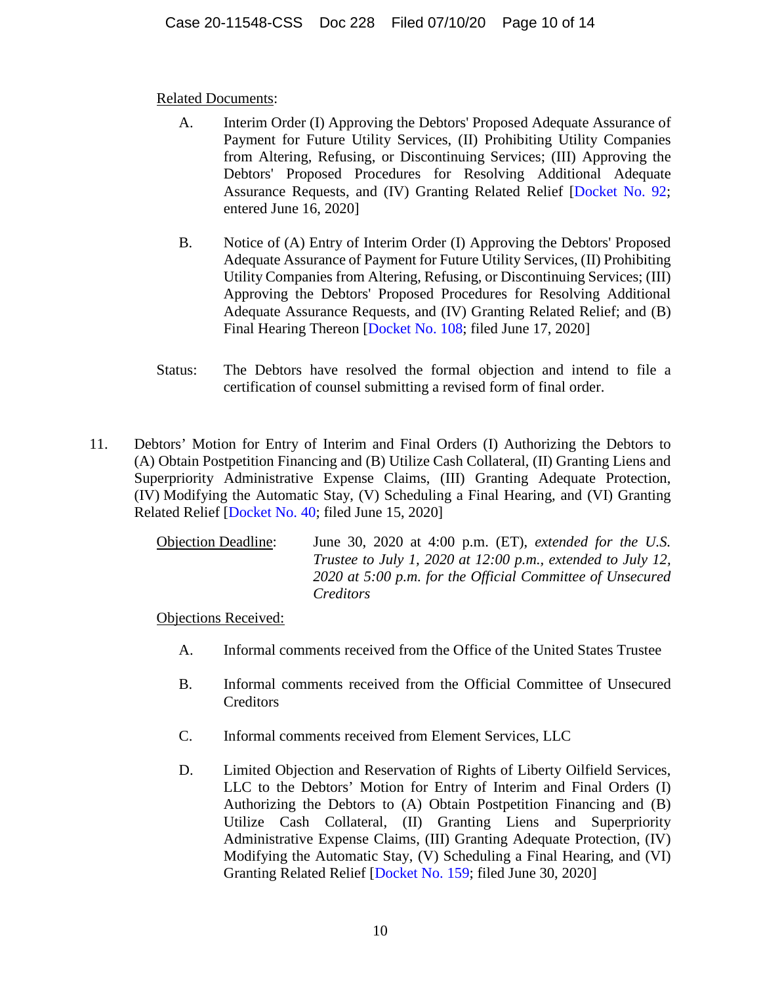- A. Interim Order (I) Approving the Debtors' Proposed Adequate Assurance of Payment for Future Utility Services, (II) Prohibiting Utility Companies from Altering, Refusing, or Discontinuing Services; (III) Approving the Debtors' Proposed Procedures for Resolving Additional Adequate Assurance Requests, and (IV) Granting Related Relief [\[Docket No. 92](https://www.kccllc.net/extractionog/document/2011548200616000000000067); entered June 16, 2020]
- B. Notice of (A) Entry of Interim Order (I) Approving the Debtors' Proposed Adequate Assurance of Payment for Future Utility Services, (II) Prohibiting Utility Companies from Altering, Refusing, or Discontinuing Services; (III) Approving the Debtors' Proposed Procedures for Resolving Additional Adequate Assurance Requests, and (IV) Granting Related Relief; and (B) Final Hearing Thereon [\[Docket No. 108;](https://www.kccllc.net/extractionog/document/2011548200617000000000014) filed June 17, 2020]
- Status: The Debtors have resolved the formal objection and intend to file a certification of counsel submitting a revised form of final order.
- 11. Debtors' Motion for Entry of Interim and Final Orders (I) Authorizing the Debtors to (A) Obtain Postpetition Financing and (B) Utilize Cash Collateral, (II) Granting Liens and Superpriority Administrative Expense Claims, (III) Granting Adequate Protection, (IV) Modifying the Automatic Stay, (V) Scheduling a Final Hearing, and (VI) Granting Related Relief [[Docket No. 40](https://www.kccllc.net/extractionog/document/2011548200615000000000033); filed June 15, 2020]

| <b>Objection Deadline:</b> | June 30, 2020 at 4:00 p.m. (ET), extended for the U.S.      |
|----------------------------|-------------------------------------------------------------|
|                            | Trustee to July 1, 2020 at 12:00 p.m., extended to July 12, |
|                            | 2020 at 5:00 p.m. for the Official Committee of Unsecured   |
|                            | <i>Creditors</i>                                            |

- A. Informal comments received from the Office of the United States Trustee
- B. Informal comments received from the Official Committee of Unsecured **Creditors**
- C. Informal comments received from Element Services, LLC
- D. Limited Objection and Reservation of Rights of Liberty Oilfield Services, LLC to the Debtors' Motion for Entry of Interim and Final Orders (I) Authorizing the Debtors to (A) Obtain Postpetition Financing and (B) Utilize Cash Collateral, (II) Granting Liens and Superpriority Administrative Expense Claims, (III) Granting Adequate Protection, (IV) Modifying the Automatic Stay, (V) Scheduling a Final Hearing, and (VI) Granting Related Relief [[Docket No. 159;](https://www.kccllc.net/extractionog/document/2011548200630000000000008) filed June 30, 2020]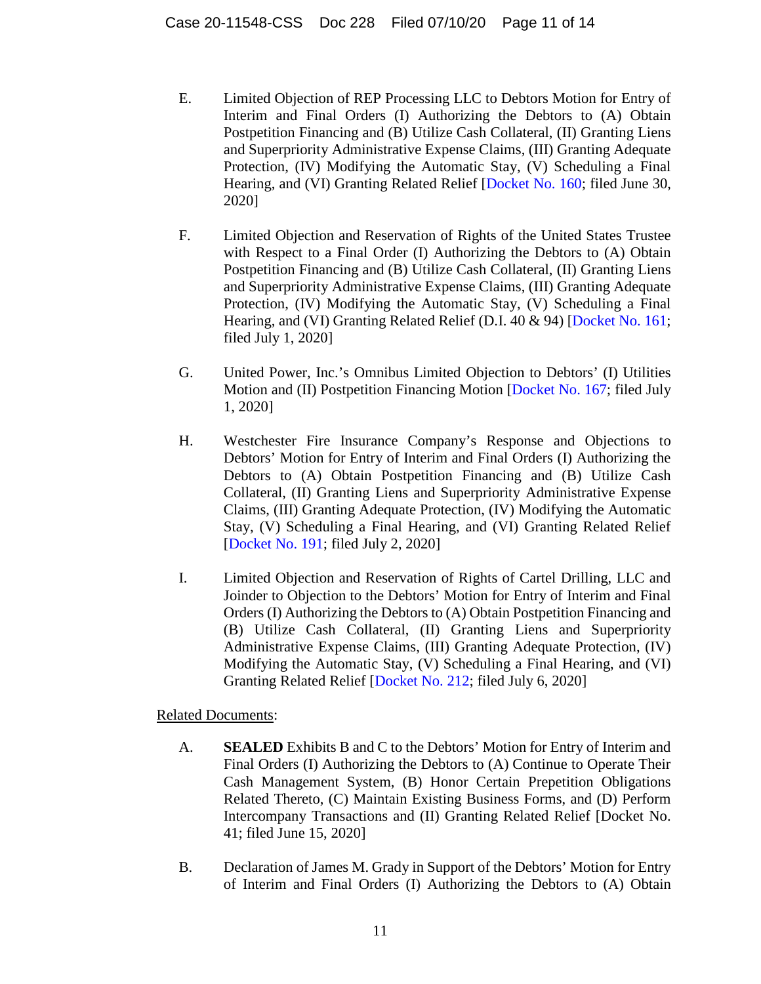- E. Limited Objection of REP Processing LLC to Debtors Motion for Entry of Interim and Final Orders (I) Authorizing the Debtors to (A) Obtain Postpetition Financing and (B) Utilize Cash Collateral, (II) Granting Liens and Superpriority Administrative Expense Claims, (III) Granting Adequate Protection, (IV) Modifying the Automatic Stay, (V) Scheduling a Final Hearing, and (VI) Granting Related Relief [\[Docket No. 160](https://www.kccllc.net/extractionog/document/2011548200630000000000009); filed June 30, 2020]
- F. Limited Objection and Reservation of Rights of the United States Trustee with Respect to a Final Order (I) Authorizing the Debtors to (A) Obtain Postpetition Financing and (B) Utilize Cash Collateral, (II) Granting Liens and Superpriority Administrative Expense Claims, (III) Granting Adequate Protection, (IV) Modifying the Automatic Stay, (V) Scheduling a Final Hearing, and (VI) Granting Related Relief (D.I. 40 & 94) [[Docket No. 161;](https://www.kccllc.net/extractionog/document/2011548200701000000000001) filed July 1, 2020]
- G. United Power, Inc.'s Omnibus Limited Objection to Debtors' (I) Utilities Motion and (II) Postpetition Financing Motion [\[Docket No. 167](https://www.kccllc.net/extractionog/document/2011548200701000000000007); filed July 1, 2020]
- H. Westchester Fire Insurance Company's Response and Objections to Debtors' Motion for Entry of Interim and Final Orders (I) Authorizing the Debtors to (A) Obtain Postpetition Financing and (B) Utilize Cash Collateral, (II) Granting Liens and Superpriority Administrative Expense Claims, (III) Granting Adequate Protection, (IV) Modifying the Automatic Stay, (V) Scheduling a Final Hearing, and (VI) Granting Related Relief [[Docket No. 191](https://www.kccllc.net/extractionog/document/2011548200702000000000013); filed July 2, 2020]
- I. Limited Objection and Reservation of Rights of Cartel Drilling, LLC and Joinder to Objection to the Debtors' Motion for Entry of Interim and Final Orders (I) Authorizing the Debtors to (A) Obtain Postpetition Financing and (B) Utilize Cash Collateral, (II) Granting Liens and Superpriority Administrative Expense Claims, (III) Granting Adequate Protection, (IV) Modifying the Automatic Stay, (V) Scheduling a Final Hearing, and (VI) Granting Related Relief [[Docket No. 212;](https://www.kccllc.net/extractionog/document/2011548200706000000000006) filed July 6, 2020]

- A. **SEALED** Exhibits B and C to the Debtors' Motion for Entry of Interim and Final Orders (I) Authorizing the Debtors to (A) Continue to Operate Their Cash Management System, (B) Honor Certain Prepetition Obligations Related Thereto, (C) Maintain Existing Business Forms, and (D) Perform Intercompany Transactions and (II) Granting Related Relief [Docket No. 41; filed June 15, 2020]
- B. Declaration of James M. Grady in Support of the Debtors' Motion for Entry of Interim and Final Orders (I) Authorizing the Debtors to (A) Obtain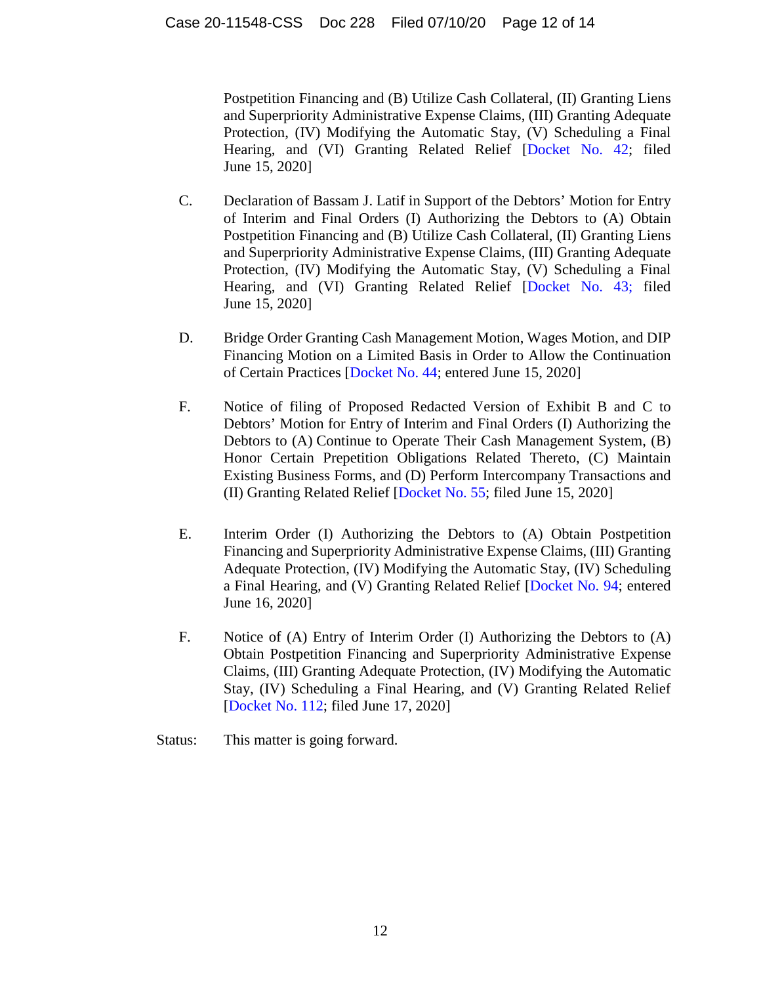Postpetition Financing and (B) Utilize Cash Collateral, (II) Granting Liens and Superpriority Administrative Expense Claims, (III) Granting Adequate Protection, (IV) Modifying the Automatic Stay, (V) Scheduling a Final Hearing, and (VI) Granting Related Relief [\[Docket No. 42;](https://www.kccllc.net/extractionog/document/2011548200615000000000036) filed June 15, 2020]

- C. Declaration of Bassam J. Latif in Support of the Debtors' Motion for Entry of Interim and Final Orders (I) Authorizing the Debtors to (A) Obtain Postpetition Financing and (B) Utilize Cash Collateral, (II) Granting Liens and Superpriority Administrative Expense Claims, (III) Granting Adequate Protection, (IV) Modifying the Automatic Stay, (V) Scheduling a Final Hearing, and (VI) Granting Related Relief [\[Docket No. 43;](https://www.kccllc.net/extractionog/document/2011548200615000000000037) filed June 15, 2020]
- D. Bridge Order Granting Cash Management Motion, Wages Motion, and DIP Financing Motion on a Limited Basis in Order to Allow the Continuation of Certain Practices [[Docket No. 44;](https://www.kccllc.net/extractionog/document/2011548200615000000000038) entered June 15, 2020]
- F. Notice of filing of Proposed Redacted Version of Exhibit B and C to Debtors' Motion for Entry of Interim and Final Orders (I) Authorizing the Debtors to (A) Continue to Operate Their Cash Management System, (B) Honor Certain Prepetition Obligations Related Thereto, (C) Maintain Existing Business Forms, and (D) Perform Intercompany Transactions and (II) Granting Related Relief [[Docket No. 55;](https://www.kccllc.net/extractionog/document/2011548200615000000000050) filed June 15, 2020]
- E. Interim Order (I) Authorizing the Debtors to (A) Obtain Postpetition Financing and Superpriority Administrative Expense Claims, (III) Granting Adequate Protection, (IV) Modifying the Automatic Stay, (IV) Scheduling a Final Hearing, and (V) Granting Related Relief [[Docket No. 94;](https://www.kccllc.net/extractionog/document/2011548200616000000000069) entered June 16, 2020]
- F. Notice of (A) Entry of Interim Order (I) Authorizing the Debtors to (A) Obtain Postpetition Financing and Superpriority Administrative Expense Claims, (III) Granting Adequate Protection, (IV) Modifying the Automatic Stay, (IV) Scheduling a Final Hearing, and (V) Granting Related Relief [[Docket No. 112](https://www.kccllc.net/extractionog/document/2011548200617000000000018); filed June 17, 2020]
- Status: This matter is going forward.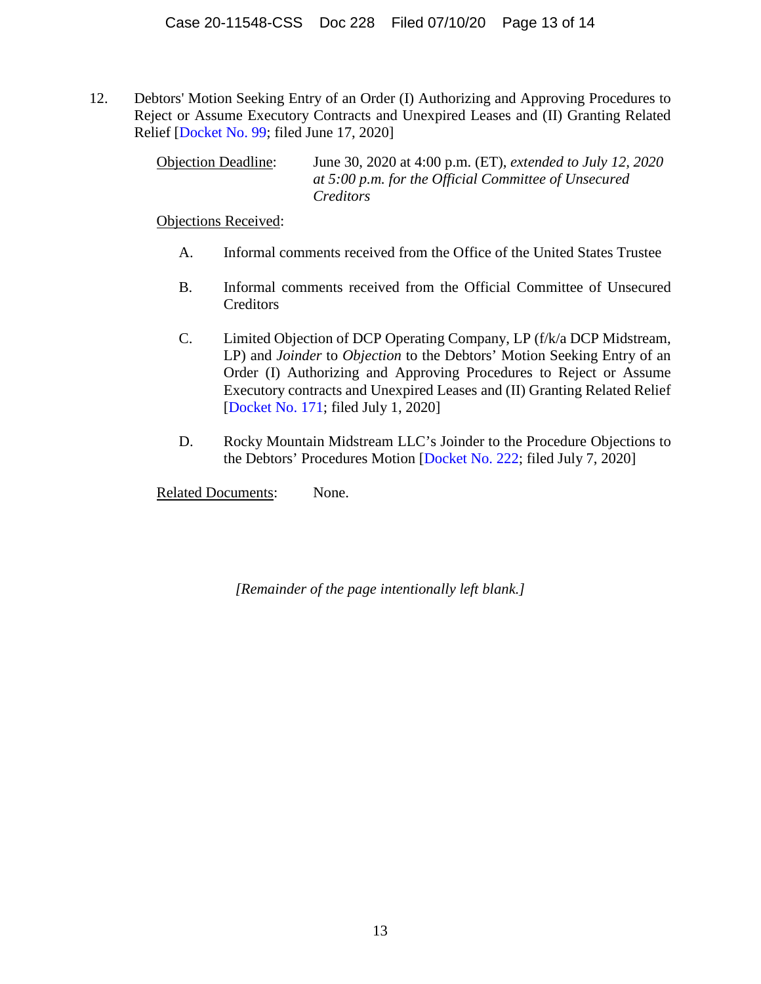12. Debtors' Motion Seeking Entry of an Order (I) Authorizing and Approving Procedures to Reject or Assume Executory Contracts and Unexpired Leases and (II) Granting Related Relief [\[Docket No. 99;](https://www.kccllc.net/extractionog/document/2011548200617000000000005) filed June 17, 2020]

> Objection Deadline: June 30, 2020 at 4:00 p.m. (ET), *extended to July 12, 2020 at 5:00 p.m. for the Official Committee of Unsecured Creditors*

Objections Received:

- A. Informal comments received from the Office of the United States Trustee
- B. Informal comments received from the Official Committee of Unsecured **Creditors**
- C. Limited Objection of DCP Operating Company, LP (f/k/a DCP Midstream, LP) and *Joinder* to *Objection* to the Debtors' Motion Seeking Entry of an Order (I) Authorizing and Approving Procedures to Reject or Assume Executory contracts and Unexpired Leases and (II) Granting Related Relief [[Docket No. 171](https://www.kccllc.net/extractionog/document/2011548200701000000000011); filed July 1, 2020]
- D. Rocky Mountain Midstream LLC's Joinder to the Procedure Objections to the Debtors' Procedures Motion [\[Docket No. 222;](https://www.kccllc.net/extractionog/document/2011548200707000000000013) filed July 7, 2020]

Related Documents: None.

*[Remainder of the page intentionally left blank.]*